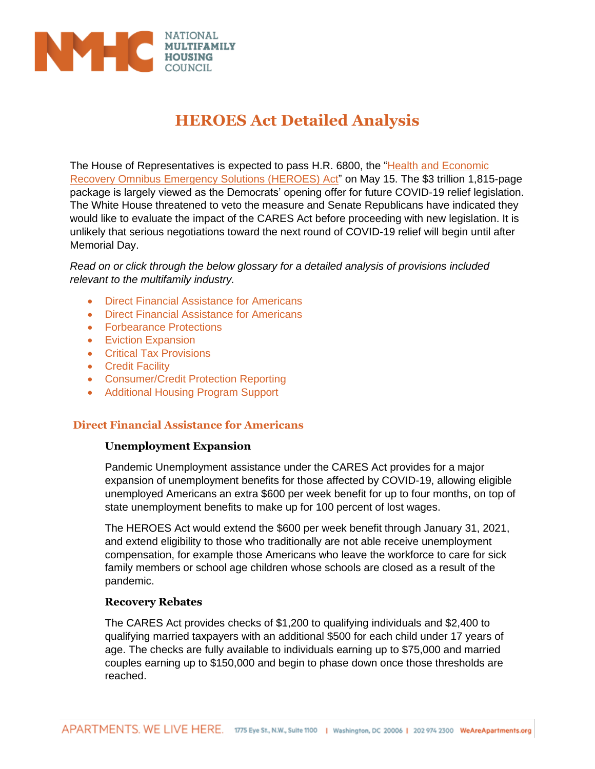

# **HEROES Act Detailed Analysis**

The House of Representatives is expected to pass H.R. 6800, the ["Health and Economic](https://docs.house.gov/billsthisweek/20200511/BILLS-116hr6800ih.pdf)  [Recovery Omnibus Emergency Solutions \(HEROES\) Act"](https://docs.house.gov/billsthisweek/20200511/BILLS-116hr6800ih.pdf) on May 15. The \$3 trillion 1,815-page package is largely viewed as the Democrats' opening offer for future COVID-19 relief legislation. The White House threatened to veto the measure and Senate Republicans have indicated they would like to evaluate the impact of the CARES Act before proceeding with new legislation. It is unlikely that serious negotiations toward the next round of COVID-19 relief will begin until after Memorial Day.

*Read on or click through the below glossary for a detailed analysis of provisions included relevant to the multifamily industry.*

- Direct Financial Assistance for Americans
- Direct Financial Assistance for Americans
- Forbearance Protections
- Eviction Expansion
- Critical Tax Provisions
- Credit Facility
- Consumer/Credit Protection Reporting
- Additional Housing Program Support

# **Direct Financial Assistance for Americans**

## **Unemployment Expansion**

Pandemic Unemployment assistance under the CARES Act provides for a major expansion of unemployment benefits for those affected by COVID-19, allowing eligible unemployed Americans an extra \$600 per week benefit for up to four months, on top of state unemployment benefits to make up for 100 percent of lost wages.

The HEROES Act would extend the \$600 per week benefit through January 31, 2021, and extend eligibility to those who traditionally are not able receive unemployment compensation, for example those Americans who leave the workforce to care for sick family members or school age children whose schools are closed as a result of the pandemic.

## **Recovery Rebates**

The CARES Act provides checks of \$1,200 to qualifying individuals and \$2,400 to qualifying married taxpayers with an additional \$500 for each child under 17 years of age. The checks are fully available to individuals earning up to \$75,000 and married couples earning up to \$150,000 and begin to phase down once those thresholds are reached.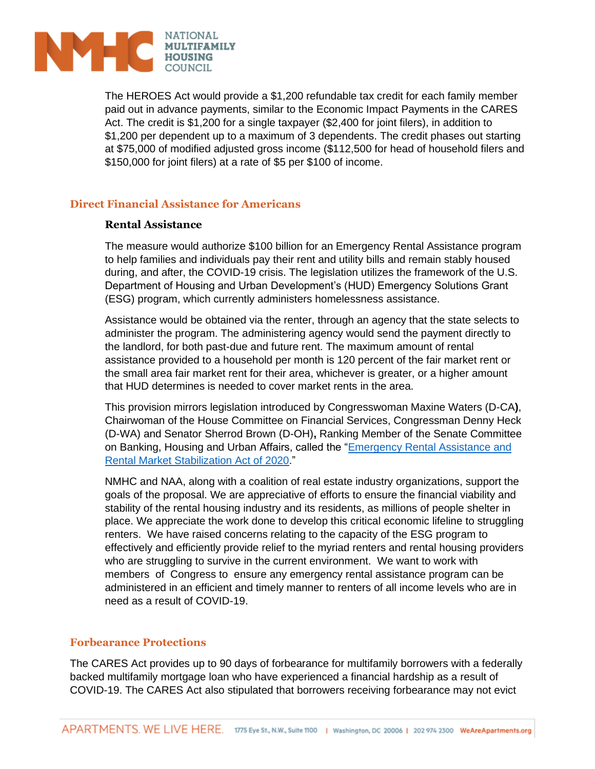

The HEROES Act would provide a \$1,200 refundable tax credit for each family member paid out in advance payments, similar to the Economic Impact Payments in the CARES Act. The credit is \$1,200 for a single taxpayer (\$2,400 for joint filers), in addition to \$1,200 per dependent up to a maximum of 3 dependents. The credit phases out starting at \$75,000 of modified adjusted gross income (\$112,500 for head of household filers and \$150,000 for joint filers) at a rate of \$5 per \$100 of income.

# **Direct Financial Assistance for Americans**

## **Rental Assistance**

The measure would authorize \$100 billion for an Emergency Rental Assistance program to help families and individuals pay their rent and utility bills and remain stably housed during, and after, the COVID-19 crisis. The legislation utilizes the framework of the U.S. Department of Housing and Urban Development's (HUD) Emergency Solutions Grant (ESG) program, which currently administers homelessness assistance.

Assistance would be obtained via the renter, through an agency that the state selects to administer the program. The administering agency would send the payment directly to the landlord, for both past-due and future rent. The maximum amount of rental assistance provided to a household per month is 120 percent of the fair market rent or the small area fair market rent for their area, whichever is greater, or a higher amount that HUD determines is needed to cover market rents in the area.

This provision mirrors legislation introduced by Congresswoman Maxine Waters (D-CA**)**, Chairwoman of the House Committee on Financial Services, Congressman Denny Heck (D-WA) and Senator Sherrod Brown (D-OH)**,** Ranking Member of the Senate Committee on Banking, Housing and Urban Affairs, called the "Emergency Rental Assistance and [Rental Market Stabilization Act of 2020.](https://financialservices.house.gov/news/documentsingle.aspx?DocumentID=406538)"

NMHC and NAA, along with a coalition of real estate industry organizations, support the goals of the proposal. We are appreciative of efforts to ensure the financial viability and stability of the rental housing industry and its residents, as millions of people shelter in place. We appreciate the work done to develop this critical economic lifeline to struggling renters. We have raised concerns relating to the capacity of the ESG program to effectively and efficiently provide relief to the myriad renters and rental housing providers who are struggling to survive in the current environment. We want to work with members of Congress to ensure any emergency rental assistance program can be administered in an efficient and timely manner to renters of all income levels who are in need as a result of COVID-19.

## **Forbearance Protections**

The CARES Act provides up to 90 days of forbearance for multifamily borrowers with a federally backed multifamily mortgage loan who have experienced a financial hardship as a result of COVID-19. The CARES Act also stipulated that borrowers receiving forbearance may not evict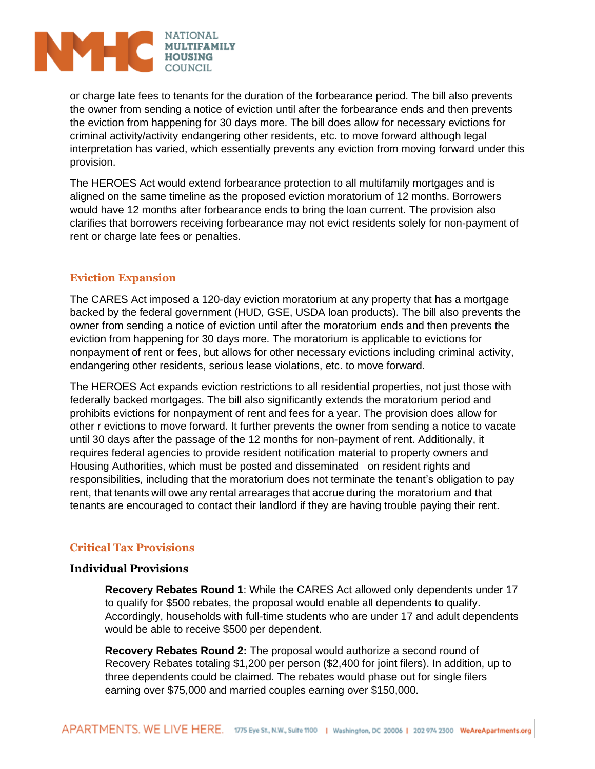

or charge late fees to tenants for the duration of the forbearance period. The bill also prevents the owner from sending a notice of eviction until after the forbearance ends and then prevents the eviction from happening for 30 days more. The bill does allow for necessary evictions for criminal activity/activity endangering other residents, etc. to move forward although legal interpretation has varied, which essentially prevents any eviction from moving forward under this provision.

The HEROES Act would extend forbearance protection to all multifamily mortgages and is aligned on the same timeline as the proposed eviction moratorium of 12 months. Borrowers would have 12 months after forbearance ends to bring the loan current. The provision also clarifies that borrowers receiving forbearance may not evict residents solely for non-payment of rent or charge late fees or penalties.

# **Eviction Expansion**

The CARES Act imposed a 120-day eviction moratorium at any property that has a mortgage backed by the federal government (HUD, GSE, USDA loan products). The bill also prevents the owner from sending a notice of eviction until after the moratorium ends and then prevents the eviction from happening for 30 days more. The moratorium is applicable to evictions for nonpayment of rent or fees, but allows for other necessary evictions including criminal activity, endangering other residents, serious lease violations, etc. to move forward.

The HEROES Act expands eviction restrictions to all residential properties, not just those with federally backed mortgages. The bill also significantly extends the moratorium period and prohibits evictions for nonpayment of rent and fees for a year. The provision does allow for other r evictions to move forward. It further prevents the owner from sending a notice to vacate until 30 days after the passage of the 12 months for non-payment of rent. Additionally, it requires federal agencies to provide resident notification material to property owners and Housing Authorities, which must be posted and disseminated on resident rights and responsibilities, including that the moratorium does not terminate the tenant's obligation to pay rent, that tenants will owe any rental arrearages that accrue during the moratorium and that tenants are encouraged to contact their landlord if they are having trouble paying their rent.

# **Critical Tax Provisions**

# **Individual Provisions**

**Recovery Rebates Round 1**: While the CARES Act allowed only dependents under 17 to qualify for \$500 rebates, the proposal would enable all dependents to qualify. Accordingly, households with full-time students who are under 17 and adult dependents would be able to receive \$500 per dependent.

**Recovery Rebates Round 2:** The proposal would authorize a second round of Recovery Rebates totaling \$1,200 per person (\$2,400 for joint filers). In addition, up to three dependents could be claimed. The rebates would phase out for single filers earning over \$75,000 and married couples earning over \$150,000.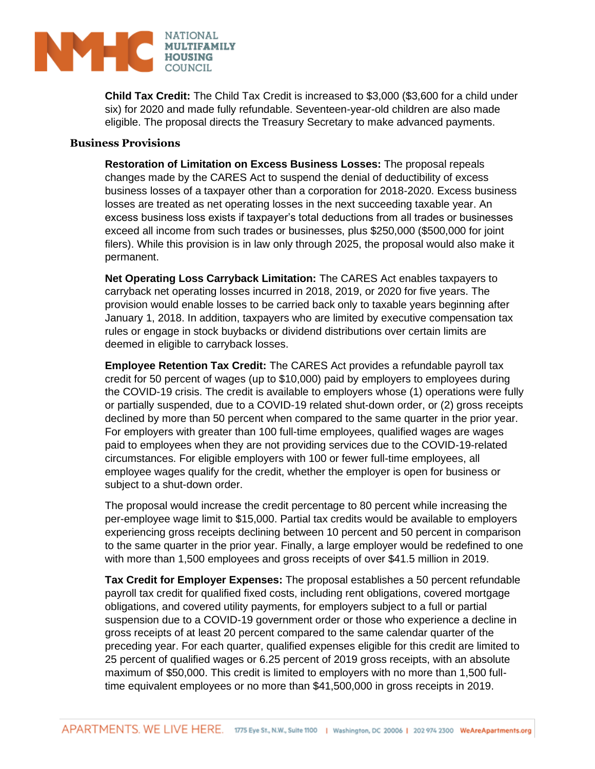

**Child Tax Credit:** The Child Tax Credit is increased to \$3,000 (\$3,600 for a child under six) for 2020 and made fully refundable. Seventeen-year-old children are also made eligible. The proposal directs the Treasury Secretary to make advanced payments.

## **Business Provisions**

**Restoration of Limitation on Excess Business Losses:** The proposal repeals changes made by the CARES Act to suspend the denial of deductibility of excess business losses of a taxpayer other than a corporation for 2018-2020. Excess business losses are treated as net operating losses in the next succeeding taxable year. An excess business loss exists if taxpayer's total deductions from all trades or businesses exceed all income from such trades or businesses, plus \$250,000 (\$500,000 for joint filers). While this provision is in law only through 2025, the proposal would also make it permanent.

**Net Operating Loss Carryback Limitation:** The CARES Act enables taxpayers to carryback net operating losses incurred in 2018, 2019, or 2020 for five years. The provision would enable losses to be carried back only to taxable years beginning after January 1, 2018. In addition, taxpayers who are limited by executive compensation tax rules or engage in stock buybacks or dividend distributions over certain limits are deemed in eligible to carryback losses.

**Employee Retention Tax Credit:** The CARES Act provides a refundable payroll tax credit for 50 percent of wages (up to \$10,000) paid by employers to employees during the COVID-19 crisis. The credit is available to employers whose (1) operations were fully or partially suspended, due to a COVID-19 related shut-down order, or (2) gross receipts declined by more than 50 percent when compared to the same quarter in the prior year. For employers with greater than 100 full-time employees, qualified wages are wages paid to employees when they are not providing services due to the COVID-19-related circumstances. For eligible employers with 100 or fewer full-time employees, all employee wages qualify for the credit, whether the employer is open for business or subject to a shut-down order.

The proposal would increase the credit percentage to 80 percent while increasing the per-employee wage limit to \$15,000. Partial tax credits would be available to employers experiencing gross receipts declining between 10 percent and 50 percent in comparison to the same quarter in the prior year. Finally, a large employer would be redefined to one with more than 1,500 employees and gross receipts of over \$41.5 million in 2019.

**Tax Credit for Employer Expenses:** The proposal establishes a 50 percent refundable payroll tax credit for qualified fixed costs, including rent obligations, covered mortgage obligations, and covered utility payments, for employers subject to a full or partial suspension due to a COVID-19 government order or those who experience a decline in gross receipts of at least 20 percent compared to the same calendar quarter of the preceding year. For each quarter, qualified expenses eligible for this credit are limited to 25 percent of qualified wages or 6.25 percent of 2019 gross receipts, with an absolute maximum of \$50,000. This credit is limited to employers with no more than 1,500 fulltime equivalent employees or no more than \$41,500,000 in gross receipts in 2019.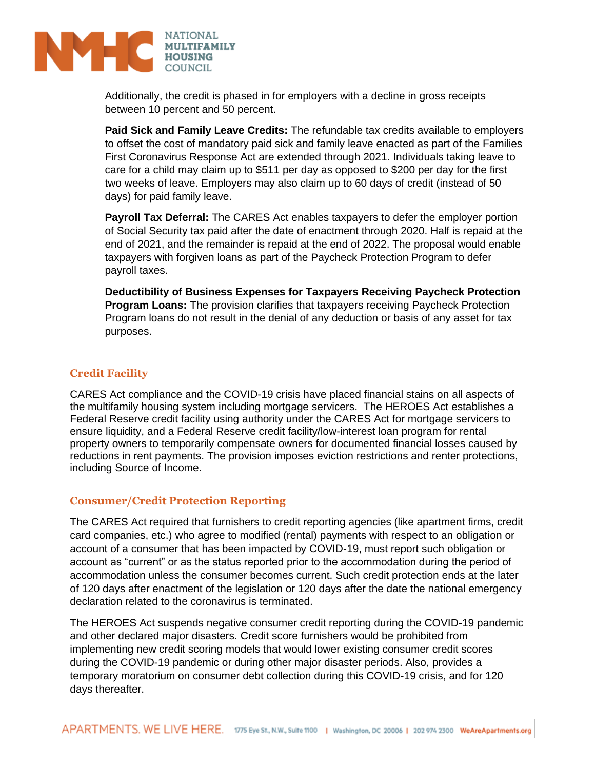

Additionally, the credit is phased in for employers with a decline in gross receipts between 10 percent and 50 percent.

**Paid Sick and Family Leave Credits:** The refundable tax credits available to employers to offset the cost of mandatory paid sick and family leave enacted as part of the Families First Coronavirus Response Act are extended through 2021. Individuals taking leave to care for a child may claim up to \$511 per day as opposed to \$200 per day for the first two weeks of leave. Employers may also claim up to 60 days of credit (instead of 50 days) for paid family leave.

**Payroll Tax Deferral:** The CARES Act enables taxpayers to defer the employer portion of Social Security tax paid after the date of enactment through 2020. Half is repaid at the end of 2021, and the remainder is repaid at the end of 2022. The proposal would enable taxpayers with forgiven loans as part of the Paycheck Protection Program to defer payroll taxes.

**Deductibility of Business Expenses for Taxpayers Receiving Paycheck Protection Program Loans:** The provision clarifies that taxpayers receiving Paycheck Protection Program loans do not result in the denial of any deduction or basis of any asset for tax purposes.

# **Credit Facility**

CARES Act compliance and the COVID-19 crisis have placed financial stains on all aspects of the multifamily housing system including mortgage servicers. The HEROES Act establishes a Federal Reserve credit facility using authority under the CARES Act for mortgage servicers to ensure liquidity, and a Federal Reserve credit facility/low-interest loan program for rental property owners to temporarily compensate owners for documented financial losses caused by reductions in rent payments. The provision imposes eviction restrictions and renter protections, including Source of Income.

## **Consumer/Credit Protection Reporting**

The CARES Act required that furnishers to credit reporting agencies (like apartment firms, credit card companies, etc.) who agree to modified (rental) payments with respect to an obligation or account of a consumer that has been impacted by COVID-19, must report such obligation or account as "current" or as the status reported prior to the accommodation during the period of accommodation unless the consumer becomes current. Such credit protection ends at the later of 120 days after enactment of the legislation or 120 days after the date the national emergency declaration related to the coronavirus is terminated.

The HEROES Act suspends negative consumer credit reporting during the COVID-19 pandemic and other declared major disasters. Credit score furnishers would be prohibited from implementing new credit scoring models that would lower existing consumer credit scores during the COVID-19 pandemic or during other major disaster periods. Also, provides a temporary moratorium on consumer debt collection during this COVID-19 crisis, and for 120 days thereafter.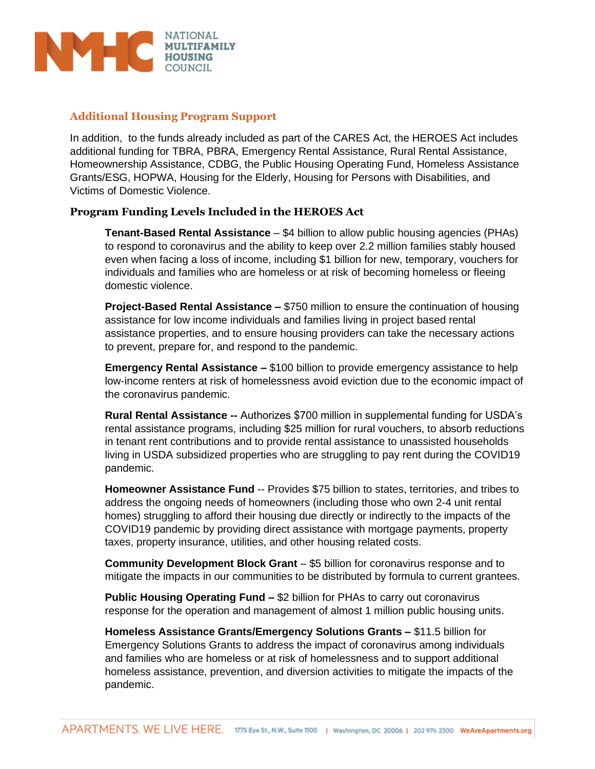

# **Additional Housing Program Support**

In addition, to the funds already included as part of the CARES Act, the HEROES Act includes additional funding for TBRA, PBRA, Emergency Rental Assistance, Rural Rental Assistance, Homeownership Assistance, CDBG, the Public Housing Operating Fund, Homeless Assistance Grants/ESG, HOPWA, Housing for the Elderly, Housing for Persons with Disabilities, and Victims of Domestic Violence.

# **Program Funding Levels Included in the HEROES Act**

**Tenant-Based Rental Assistance** – \$4 billion to allow public housing agencies (PHAs) to respond to coronavirus and the ability to keep over 2.2 million families stably housed even when facing a loss of income, including \$1 billion for new, temporary, vouchers for individuals and families who are homeless or at risk of becoming homeless or fleeing domestic violence.

**Project-Based Rental Assistance –** \$750 million to ensure the continuation of housing assistance for low income individuals and families living in project based rental assistance properties, and to ensure housing providers can take the necessary actions to prevent, prepare for, and respond to the pandemic.

**Emergency Rental Assistance –** \$100 billion to provide emergency assistance to help low-income renters at risk of homelessness avoid eviction due to the economic impact of the coronavirus pandemic.

**Rural Rental Assistance --** Authorizes \$700 million in supplemental funding for USDA's rental assistance programs, including \$25 million for rural vouchers, to absorb reductions in tenant rent contributions and to provide rental assistance to unassisted households living in USDA subsidized properties who are struggling to pay rent during the COVID19 pandemic.

**Homeowner Assistance Fund** -- Provides \$75 billion to states, territories, and tribes to address the ongoing needs of homeowners (including those who own 2-4 unit rental homes) struggling to afford their housing due directly or indirectly to the impacts of the COVID19 pandemic by providing direct assistance with mortgage payments, property taxes, property insurance, utilities, and other housing related costs.

**Community Development Block Grant** – \$5 billion for coronavirus response and to mitigate the impacts in our communities to be distributed by formula to current grantees.

**Public Housing Operating Fund –** \$2 billion for PHAs to carry out coronavirus response for the operation and management of almost 1 million public housing units.

**Homeless Assistance Grants/Emergency Solutions Grants –** \$11.5 billion for Emergency Solutions Grants to address the impact of coronavirus among individuals and families who are homeless or at risk of homelessness and to support additional homeless assistance, prevention, and diversion activities to mitigate the impacts of the pandemic.